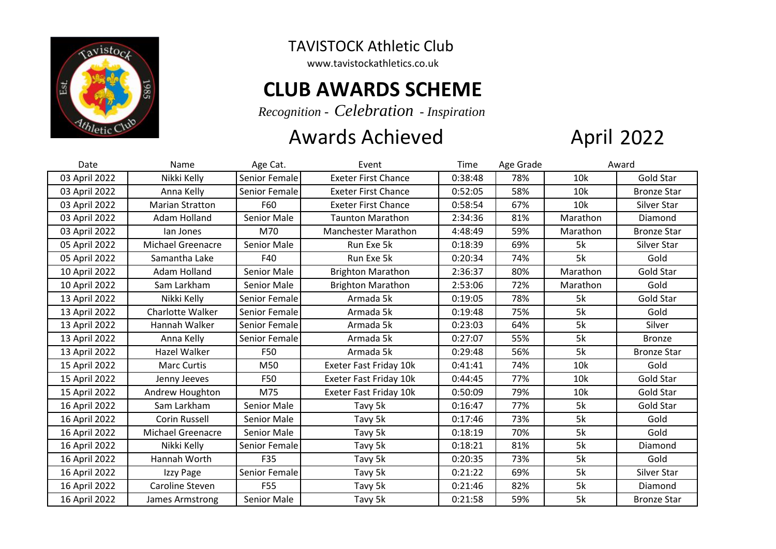

TAVISTOCK Athletic Club

www.tavistockathletics.co.uk

## **CLUB AWARDS SCHEME**

*Recognition - Celebration - Inspiration*

## Awards Achieved

## **April 2022**

| Date          | Name                     | Age Cat.      | Event                      | Time    | Age Grade | Award    |                    |
|---------------|--------------------------|---------------|----------------------------|---------|-----------|----------|--------------------|
| 03 April 2022 | Nikki Kelly              | Senior Female | <b>Exeter First Chance</b> | 0:38:48 | 78%       | 10k      | Gold Star          |
| 03 April 2022 | Anna Kelly               | Senior Female | <b>Exeter First Chance</b> | 0:52:05 | 58%       | 10k      | <b>Bronze Star</b> |
| 03 April 2022 | <b>Marian Stratton</b>   | F60           | <b>Exeter First Chance</b> | 0:58:54 | 67%       | 10k      | Silver Star        |
| 03 April 2022 | Adam Holland             | Senior Male   | <b>Taunton Marathon</b>    | 2:34:36 | 81%       | Marathon | Diamond            |
| 03 April 2022 | lan Jones                | M70           | <b>Manchester Marathon</b> | 4:48:49 | 59%       | Marathon | <b>Bronze Star</b> |
| 05 April 2022 | <b>Michael Greenacre</b> | Senior Male   | Run Exe 5k                 | 0:18:39 | 69%       | 5k       | Silver Star        |
| 05 April 2022 | Samantha Lake            | F40           | Run Exe 5k                 | 0:20:34 | 74%       | 5k       | Gold               |
| 10 April 2022 | Adam Holland             | Senior Male   | <b>Brighton Marathon</b>   | 2:36:37 | 80%       | Marathon | <b>Gold Star</b>   |
| 10 April 2022 | Sam Larkham              | Senior Male   | <b>Brighton Marathon</b>   | 2:53:06 | 72%       | Marathon | Gold               |
| 13 April 2022 | Nikki Kelly              | Senior Female | Armada 5k                  | 0:19:05 | 78%       | 5k       | Gold Star          |
| 13 April 2022 | Charlotte Walker         | Senior Female | Armada 5k                  | 0:19:48 | 75%       | 5k       | Gold               |
| 13 April 2022 | Hannah Walker            | Senior Female | Armada 5k                  | 0:23:03 | 64%       | 5k       | Silver             |
| 13 April 2022 | Anna Kelly               | Senior Female | Armada 5k                  | 0:27:07 | 55%       | 5k       | <b>Bronze</b>      |
| 13 April 2022 | Hazel Walker             | F50           | Armada 5k                  | 0:29:48 | 56%       | 5k       | <b>Bronze Star</b> |
| 15 April 2022 | <b>Marc Curtis</b>       | M50           | Exeter Fast Friday 10k     | 0:41:41 | 74%       | 10k      | Gold               |
| 15 April 2022 | Jenny Jeeves             | F50           | Exeter Fast Friday 10k     | 0:44:45 | 77%       | 10k      | <b>Gold Star</b>   |
| 15 April 2022 | Andrew Houghton          | M75           | Exeter Fast Friday 10k     | 0:50:09 | 79%       | 10k      | Gold Star          |
| 16 April 2022 | Sam Larkham              | Senior Male   | Tavy 5k                    | 0:16:47 | 77%       | 5k       | Gold Star          |
| 16 April 2022 | <b>Corin Russell</b>     | Senior Male   | Tavy 5k                    | 0:17:46 | 73%       | 5k       | Gold               |
| 16 April 2022 | <b>Michael Greenacre</b> | Senior Male   | Tavy 5k                    | 0:18:19 | 70%       | 5k       | Gold               |
| 16 April 2022 | Nikki Kelly              | Senior Female | Tavy 5k                    | 0:18:21 | 81%       | 5k       | Diamond            |
| 16 April 2022 | Hannah Worth             | F35           | Tavy 5k                    | 0:20:35 | 73%       | 5k       | Gold               |
| 16 April 2022 | Izzy Page                | Senior Female | Tavy 5k                    | 0:21:22 | 69%       | 5k       | Silver Star        |
| 16 April 2022 | Caroline Steven          | F55           | Tavy 5k                    | 0:21:46 | 82%       | 5k       | Diamond            |
| 16 April 2022 | James Armstrong          | Senior Male   | Tavy 5k                    | 0:21:58 | 59%       | 5k       | <b>Bronze Star</b> |